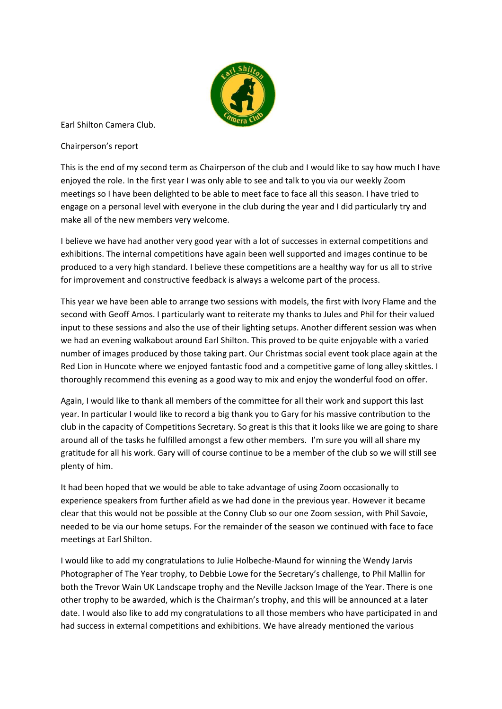

Earl Shilton Camera Club.

Chairperson's report

This is the end of my second term as Chairperson of the club and I would like to say how much I have enjoyed the role. In the first year I was only able to see and talk to you via our weekly Zoom meetings so I have been delighted to be able to meet face to face all this season. I have tried to engage on a personal level with everyone in the club during the year and I did particularly try and make all of the new members very welcome.

I believe we have had another very good year with a lot of successes in external competitions and exhibitions. The internal competitions have again been well supported and images continue to be produced to a very high standard. I believe these competitions are a healthy way for us all to strive for improvement and constructive feedback is always a welcome part of the process.

This year we have been able to arrange two sessions with models, the first with Ivory Flame and the second with Geoff Amos. I particularly want to reiterate my thanks to Jules and Phil for their valued input to these sessions and also the use of their lighting setups. Another different session was when we had an evening walkabout around Earl Shilton. This proved to be quite enjoyable with a varied number of images produced by those taking part. Our Christmas social event took place again at the Red Lion in Huncote where we enjoyed fantastic food and a competitive game of long alley skittles. I thoroughly recommend this evening as a good way to mix and enjoy the wonderful food on offer.

Again, I would like to thank all members of the committee for all their work and support this last year. In particular I would like to record a big thank you to Gary for his massive contribution to the club in the capacity of Competitions Secretary. So great is this that it looks like we are going to share around all of the tasks he fulfilled amongst a few other members. I'm sure you will all share my gratitude for all his work. Gary will of course continue to be a member of the club so we will still see plenty of him.

It had been hoped that we would be able to take advantage of using Zoom occasionally to experience speakers from further afield as we had done in the previous year. However it became clear that this would not be possible at the Conny Club so our one Zoom session, with Phil Savoie, needed to be via our home setups. For the remainder of the season we continued with face to face meetings at Earl Shilton.

I would like to add my congratulations to Julie Holbeche-Maund for winning the Wendy Jarvis Photographer of The Year trophy, to Debbie Lowe for the Secretary's challenge, to Phil Mallin for both the Trevor Wain UK Landscape trophy and the Neville Jackson Image of the Year. There is one other trophy to be awarded, which is the Chairman's trophy, and this will be announced at a later date. I would also like to add my congratulations to all those members who have participated in and had success in external competitions and exhibitions. We have already mentioned the various